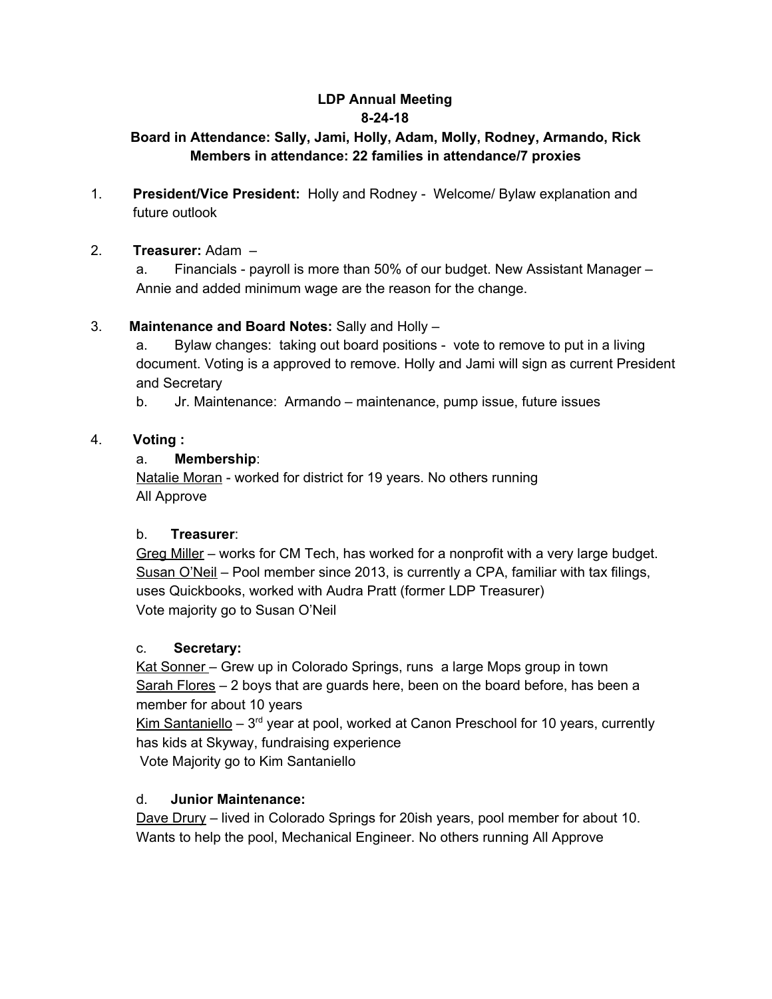# **LDP Annual Meeting 8-24-18**

## **Board in Attendance: Sally, Jami, Holly, Adam, Molly, Rodney, Armando, Rick Members in attendance: 22 families in attendance/7 proxies**

1. **President/Vice President:** Holly and Rodney - Welcome/ Bylaw explanation and future outlook

## 2. **Treasurer:** Adam –

a. Financials - payroll is more than 50% of our budget. New Assistant Manager – Annie and added minimum wage are the reason for the change.

## 3. **Maintenance and Board Notes:** Sally and Holly –

a. Bylaw changes: taking out board positions - vote to remove to put in a living document. Voting is a approved to remove. Holly and Jami will sign as current President and Secretary

b. Jr. Maintenance: Armando – maintenance, pump issue, future issues

## 4. **Voting :**

#### a. **Membership**:

Natalie Moran - worked for district for 19 years. No others running All Approve

#### b. **Treasurer**:

Greg Miller – works for CM Tech, has worked for a nonprofit with a very large budget. Susan O'Neil – Pool member since 2013, is currently a CPA, familiar with tax filings, uses Quickbooks, worked with Audra Pratt (former LDP Treasurer) Vote majority go to Susan O'Neil

#### c. **Secretary:**

Kat Sonner – Grew up in Colorado Springs, runs a large Mops group in town Sarah Flores - 2 boys that are guards here, been on the board before, has been a member for about 10 years

Kim Santaniello - 3<sup>rd</sup> year at pool, worked at Canon Preschool for 10 years, currently has kids at Skyway, fundraising experience

Vote Majority go to Kim Santaniello

## d. **Junior Maintenance:**

Dave Drury – lived in Colorado Springs for 20ish years, pool member for about 10. Wants to help the pool, Mechanical Engineer. No others running All Approve